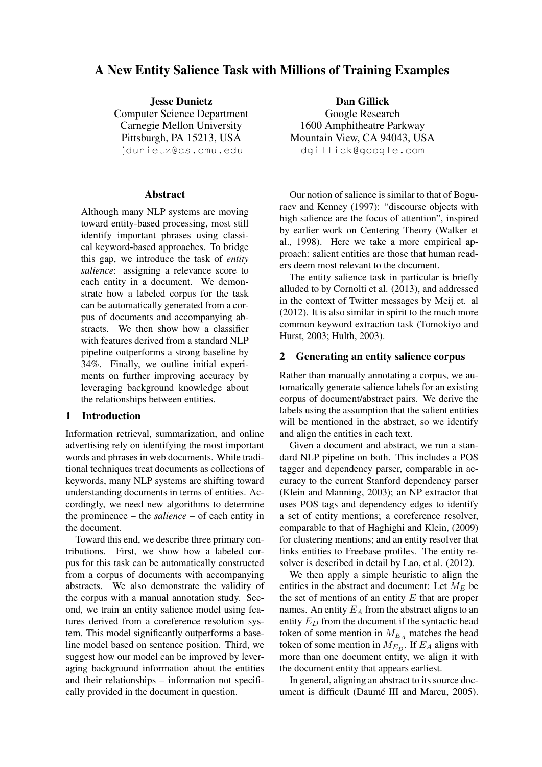# A New Entity Salience Task with Millions of Training Examples

Jesse Dunietz Computer Science Department Carnegie Mellon University Pittsburgh, PA 15213, USA jdunietz@cs.cmu.edu

### Abstract

Although many NLP systems are moving toward entity-based processing, most still identify important phrases using classical keyword-based approaches. To bridge this gap, we introduce the task of *entity salience*: assigning a relevance score to each entity in a document. We demonstrate how a labeled corpus for the task can be automatically generated from a corpus of documents and accompanying abstracts. We then show how a classifier with features derived from a standard NLP pipeline outperforms a strong baseline by 34%. Finally, we outline initial experiments on further improving accuracy by leveraging background knowledge about the relationships between entities.

### 1 Introduction

Information retrieval, summarization, and online advertising rely on identifying the most important words and phrases in web documents. While traditional techniques treat documents as collections of keywords, many NLP systems are shifting toward understanding documents in terms of entities. Accordingly, we need new algorithms to determine the prominence – the *salience* – of each entity in the document.

Toward this end, we describe three primary contributions. First, we show how a labeled corpus for this task can be automatically constructed from a corpus of documents with accompanying abstracts. We also demonstrate the validity of the corpus with a manual annotation study. Second, we train an entity salience model using features derived from a coreference resolution system. This model significantly outperforms a baseline model based on sentence position. Third, we suggest how our model can be improved by leveraging background information about the entities and their relationships – information not specifically provided in the document in question.

Dan Gillick Google Research 1600 Amphitheatre Parkway Mountain View, CA 94043, USA dgillick@google.com

Our notion of salience is similar to that of Boguraev and Kenney (1997): "discourse objects with high salience are the focus of attention", inspired by earlier work on Centering Theory (Walker et al., 1998). Here we take a more empirical approach: salient entities are those that human readers deem most relevant to the document.

The entity salience task in particular is briefly alluded to by Cornolti et al. (2013), and addressed in the context of Twitter messages by Meij et. al (2012). It is also similar in spirit to the much more common keyword extraction task (Tomokiyo and Hurst, 2003; Hulth, 2003).

# 2 Generating an entity salience corpus

Rather than manually annotating a corpus, we automatically generate salience labels for an existing corpus of document/abstract pairs. We derive the labels using the assumption that the salient entities will be mentioned in the abstract, so we identify and align the entities in each text.

Given a document and abstract, we run a standard NLP pipeline on both. This includes a POS tagger and dependency parser, comparable in accuracy to the current Stanford dependency parser (Klein and Manning, 2003); an NP extractor that uses POS tags and dependency edges to identify a set of entity mentions; a coreference resolver, comparable to that of Haghighi and Klein, (2009) for clustering mentions; and an entity resolver that links entities to Freebase profiles. The entity resolver is described in detail by Lao, et al. (2012).

We then apply a simple heuristic to align the entities in the abstract and document: Let  $M_E$  be the set of mentions of an entity  $E$  that are proper names. An entity  $E_A$  from the abstract aligns to an entity  $E_D$  from the document if the syntactic head token of some mention in  $M_{E_A}$  matches the head token of some mention in  $M_{E_D}$ . If  $E_A$  aligns with more than one document entity, we align it with the document entity that appears earliest.

In general, aligning an abstract to its source document is difficult (Daumé III and Marcu, 2005).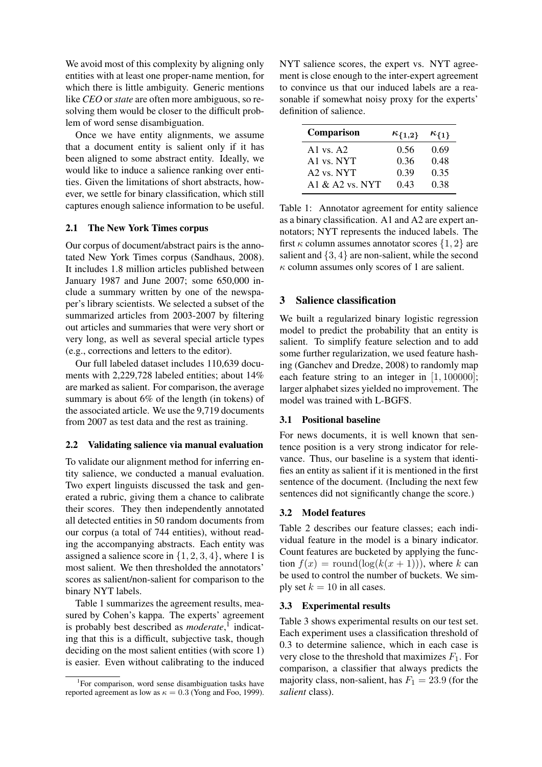We avoid most of this complexity by aligning only entities with at least one proper-name mention, for which there is little ambiguity. Generic mentions like *CEO* or *state* are often more ambiguous, so resolving them would be closer to the difficult problem of word sense disambiguation.

Once we have entity alignments, we assume that a document entity is salient only if it has been aligned to some abstract entity. Ideally, we would like to induce a salience ranking over entities. Given the limitations of short abstracts, however, we settle for binary classification, which still captures enough salience information to be useful.

### 2.1 The New York Times corpus

Our corpus of document/abstract pairs is the annotated New York Times corpus (Sandhaus, 2008). It includes 1.8 million articles published between January 1987 and June 2007; some 650,000 include a summary written by one of the newspaper's library scientists. We selected a subset of the summarized articles from 2003-2007 by filtering out articles and summaries that were very short or very long, as well as several special article types (e.g., corrections and letters to the editor).

Our full labeled dataset includes 110,639 documents with 2,229,728 labeled entities; about 14% are marked as salient. For comparison, the average summary is about 6% of the length (in tokens) of the associated article. We use the 9,719 documents from 2007 as test data and the rest as training.

#### 2.2 Validating salience via manual evaluation

To validate our alignment method for inferring entity salience, we conducted a manual evaluation. Two expert linguists discussed the task and generated a rubric, giving them a chance to calibrate their scores. They then independently annotated all detected entities in 50 random documents from our corpus (a total of 744 entities), without reading the accompanying abstracts. Each entity was assigned a salience score in  $\{1, 2, 3, 4\}$ , where 1 is most salient. We then thresholded the annotators' scores as salient/non-salient for comparison to the binary NYT labels.

Table 1 summarizes the agreement results, measured by Cohen's kappa. The experts' agreement is probably best described as *moderate*,<sup>1</sup> indicating that this is a difficult, subjective task, though deciding on the most salient entities (with score 1) is easier. Even without calibrating to the induced

NYT salience scores, the expert vs. NYT agreement is close enough to the inter-expert agreement to convince us that our induced labels are a reasonable if somewhat noisy proxy for the experts' definition of salience.

| Comparison              | $\kappa_{\{1,2\}}$ | $\kappa_{\{1\}}$ |
|-------------------------|--------------------|------------------|
| A <sub>1</sub> vs. $A2$ | 0.56               | 0.69             |
| A <sub>1</sub> vs. NYT  | 0.36               | 0.48             |
| A2 vs. NYT              | 0.39               | 0.35             |
| A1 $\&$ A2 vs. NYT      | 0.43               | 0.38             |

Table 1: Annotator agreement for entity salience as a binary classification. A1 and A2 are expert annotators; NYT represents the induced labels. The first  $\kappa$  column assumes annotator scores  $\{1,2\}$  are salient and {3, 4} are non-salient, while the second  $\kappa$  column assumes only scores of 1 are salient.

# 3 Salience classification

We built a regularized binary logistic regression model to predict the probability that an entity is salient. To simplify feature selection and to add some further regularization, we used feature hashing (Ganchev and Dredze, 2008) to randomly map each feature string to an integer in  $[1, 100000]$ ; larger alphabet sizes yielded no improvement. The model was trained with L-BGFS.

### 3.1 Positional baseline

For news documents, it is well known that sentence position is a very strong indicator for relevance. Thus, our baseline is a system that identifies an entity as salient if it is mentioned in the first sentence of the document. (Including the next few sentences did not significantly change the score.)

### 3.2 Model features

Table 2 describes our feature classes; each individual feature in the model is a binary indicator. Count features are bucketed by applying the function  $f(x) = \text{round}(\log(k(x+1)))$ , where k can be used to control the number of buckets. We simply set  $k = 10$  in all cases.

### 3.3 Experimental results

Table 3 shows experimental results on our test set. Each experiment uses a classification threshold of 0.3 to determine salience, which in each case is very close to the threshold that maximizes  $F_1$ . For comparison, a classifier that always predicts the majority class, non-salient, has  $F_1 = 23.9$  (for the *salient* class).

<sup>&</sup>lt;sup>1</sup>For comparison, word sense disambiguation tasks have reported agreement as low as  $\kappa = 0.3$  (Yong and Foo, 1999).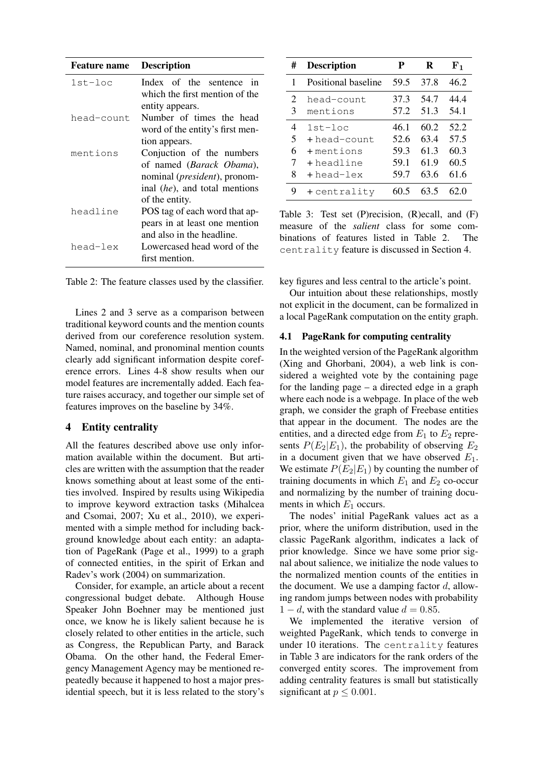| <b>Feature name</b> | <b>Description</b> |
|---------------------|--------------------|
|---------------------|--------------------|

| $1st - loc$ | Index of the sentence<br>1n<br>which the first mention of the |
|-------------|---------------------------------------------------------------|
| head-count  | entity appears.<br>Number of times the head                   |
|             | word of the entity's first men-                               |
|             | tion appears.                                                 |
| mentions    | Conjuction of the numbers                                     |
|             | of named (Barack Obama),                                      |
|             | nominal ( <i>president</i> ), pronom-                         |
|             | inal (he), and total mentions                                 |
|             | of the entity.                                                |
| headline    | POS tag of each word that ap-                                 |
|             | pears in at least one mention                                 |
|             | and also in the headline.                                     |
| head-lex    | Lowercased head word of the                                   |
|             | first mention.                                                |

Table 2: The feature classes used by the classifier.

Lines 2 and 3 serve as a comparison between traditional keyword counts and the mention counts derived from our coreference resolution system. Named, nominal, and pronominal mention counts clearly add significant information despite coreference errors. Lines 4-8 show results when our model features are incrementally added. Each feature raises accuracy, and together our simple set of features improves on the baseline by 34%.

### 4 Entity centrality

All the features described above use only information available within the document. But articles are written with the assumption that the reader knows something about at least some of the entities involved. Inspired by results using Wikipedia to improve keyword extraction tasks (Mihalcea and Csomai, 2007; Xu et al., 2010), we experimented with a simple method for including background knowledge about each entity: an adaptation of PageRank (Page et al., 1999) to a graph of connected entities, in the spirit of Erkan and Radev's work (2004) on summarization.

Consider, for example, an article about a recent congressional budget debate. Although House Speaker John Boehner may be mentioned just once, we know he is likely salient because he is closely related to other entities in the article, such as Congress, the Republican Party, and Barack Obama. On the other hand, the Federal Emergency Management Agency may be mentioned repeatedly because it happened to host a major presidential speech, but it is less related to the story's

| #      | <b>Description</b>     | P            | R            | ${\bf F_1}$  |
|--------|------------------------|--------------|--------------|--------------|
| 1      | Positional baseline    | 59.5         | 37.8         | 46.2         |
| 2<br>3 | head-count<br>mentions | 37.3<br>57.2 | 54.7<br>51.3 | 44.4<br>54.1 |
| 4      | $1st - loc$            | 46.1         | 60.2         | 52.2         |
| 5      | $+$ head-count.        | 52.6         | 63.4         | 57.5         |
| 6      | $+$ mentions           | 59.3         | 61.3         | 60.3         |
| 7      | +headline              | 59.1         | 61.9         | 60.5         |
| 8      | $+$ head-lex           | 59.7         | 63.6         | 61.6         |
| 9      | $+$ centrality         | 60.5         | 63.5         | 62.0         |

Table 3: Test set (P)recision, (R)ecall, and (F) measure of the *salient* class for some combinations of features listed in Table 2. The centrality feature is discussed in Section 4.

key figures and less central to the article's point.

Our intuition about these relationships, mostly not explicit in the document, can be formalized in a local PageRank computation on the entity graph.

### 4.1 PageRank for computing centrality

In the weighted version of the PageRank algorithm (Xing and Ghorbani, 2004), a web link is considered a weighted vote by the containing page for the landing page – a directed edge in a graph where each node is a webpage. In place of the web graph, we consider the graph of Freebase entities that appear in the document. The nodes are the entities, and a directed edge from  $E_1$  to  $E_2$  represents  $P(E_2|E_1)$ , the probability of observing  $E_2$ in a document given that we have observed  $E_1$ . We estimate  $P(E_2|E_1)$  by counting the number of training documents in which  $E_1$  and  $E_2$  co-occur and normalizing by the number of training documents in which  $E_1$  occurs.

The nodes' initial PageRank values act as a prior, where the uniform distribution, used in the classic PageRank algorithm, indicates a lack of prior knowledge. Since we have some prior signal about salience, we initialize the node values to the normalized mention counts of the entities in the document. We use a damping factor  $d$ , allowing random jumps between nodes with probability  $1 - d$ , with the standard value  $d = 0.85$ .

We implemented the iterative version of weighted PageRank, which tends to converge in under 10 iterations. The centrality features in Table 3 are indicators for the rank orders of the converged entity scores. The improvement from adding centrality features is small but statistically significant at  $p \leq 0.001$ .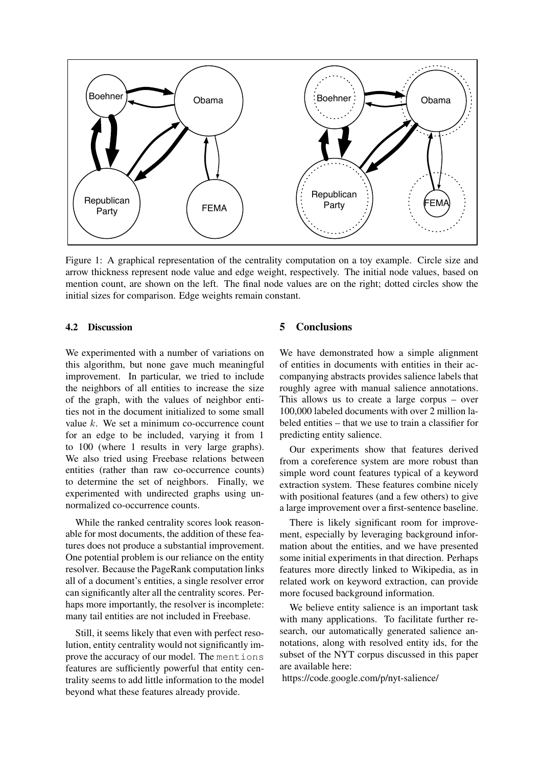

Figure 1: A graphical representation of the centrality computation on a toy example. Circle size and arrow thickness represent node value and edge weight, respectively. The initial node values, based on mention count, are shown on the left. The final node values are on the right; dotted circles show the initial sizes for comparison. Edge weights remain constant.

#### 4.2 Discussion

We experimented with a number of variations on this algorithm, but none gave much meaningful improvement. In particular, we tried to include the neighbors of all entities to increase the size of the graph, with the values of neighbor entities not in the document initialized to some small value  $k$ . We set a minimum co-occurrence count for an edge to be included, varying it from 1 to 100 (where 1 results in very large graphs). We also tried using Freebase relations between entities (rather than raw co-occurrence counts) to determine the set of neighbors. Finally, we experimented with undirected graphs using unnormalized co-occurrence counts.

While the ranked centrality scores look reasonable for most documents, the addition of these features does not produce a substantial improvement. One potential problem is our reliance on the entity resolver. Because the PageRank computation links all of a document's entities, a single resolver error can significantly alter all the centrality scores. Perhaps more importantly, the resolver is incomplete: many tail entities are not included in Freebase.

Still, it seems likely that even with perfect resolution, entity centrality would not significantly improve the accuracy of our model. The mentions features are sufficiently powerful that entity centrality seems to add little information to the model beyond what these features already provide.

# 5 Conclusions

We have demonstrated how a simple alignment of entities in documents with entities in their accompanying abstracts provides salience labels that roughly agree with manual salience annotations. This allows us to create a large corpus – over 100,000 labeled documents with over 2 million labeled entities – that we use to train a classifier for predicting entity salience.

Our experiments show that features derived from a coreference system are more robust than simple word count features typical of a keyword extraction system. These features combine nicely with positional features (and a few others) to give a large improvement over a first-sentence baseline.

There is likely significant room for improvement, especially by leveraging background information about the entities, and we have presented some initial experiments in that direction. Perhaps features more directly linked to Wikipedia, as in related work on keyword extraction, can provide more focused background information.

We believe entity salience is an important task with many applications. To facilitate further research, our automatically generated salience annotations, along with resolved entity ids, for the subset of the NYT corpus discussed in this paper are available here:

https://code.google.com/p/nyt-salience/